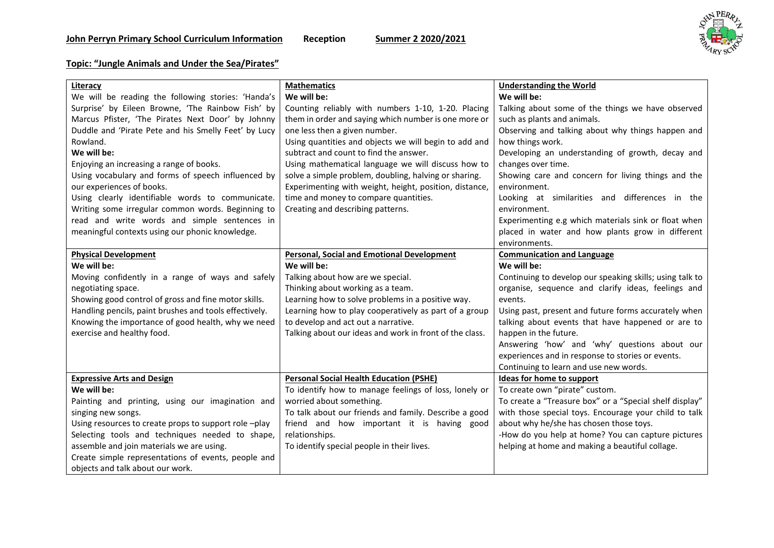

## **Topic: "Jungle Animals and Under the Sea/Pirates"**

| Literacy                                               | <b>Mathematics</b>                                      | <b>Understanding the World</b>                           |
|--------------------------------------------------------|---------------------------------------------------------|----------------------------------------------------------|
| We will be reading the following stories: 'Handa's     | We will be:                                             | We will be:                                              |
| Surprise' by Eileen Browne, 'The Rainbow Fish' by      | Counting reliably with numbers 1-10, 1-20. Placing      | Talking about some of the things we have observed        |
| Marcus Pfister, 'The Pirates Next Door' by Johnny      | them in order and saying which number is one more or    | such as plants and animals.                              |
| Duddle and 'Pirate Pete and his Smelly Feet' by Lucy   | one less then a given number.                           | Observing and talking about why things happen and        |
| Rowland.                                               | Using quantities and objects we will begin to add and   | how things work.                                         |
| We will be:                                            | subtract and count to find the answer.                  | Developing an understanding of growth, decay and         |
| Enjoying an increasing a range of books.               | Using mathematical language we will discuss how to      | changes over time.                                       |
| Using vocabulary and forms of speech influenced by     | solve a simple problem, doubling, halving or sharing.   | Showing care and concern for living things and the       |
| our experiences of books.                              | Experimenting with weight, height, position, distance,  | environment.                                             |
| Using clearly identifiable words to communicate.       | time and money to compare quantities.                   | Looking at similarities and differences in the           |
| Writing some irregular common words. Beginning to      | Creating and describing patterns.                       | environment.                                             |
| read and write words and simple sentences in           |                                                         | Experimenting e.g which materials sink or float when     |
| meaningful contexts using our phonic knowledge.        |                                                         | placed in water and how plants grow in different         |
|                                                        |                                                         | environments.                                            |
| <b>Physical Development</b>                            | <b>Personal, Social and Emotional Development</b>       | <b>Communication and Language</b>                        |
| We will be:                                            | We will be:                                             | We will be:                                              |
| Moving confidently in a range of ways and safely       | Talking about how are we special.                       | Continuing to develop our speaking skills; using talk to |
| negotiating space.                                     | Thinking about working as a team.                       | organise, sequence and clarify ideas, feelings and       |
| Showing good control of gross and fine motor skills.   | Learning how to solve problems in a positive way.       | events.                                                  |
| Handling pencils, paint brushes and tools effectively. | Learning how to play cooperatively as part of a group   | Using past, present and future forms accurately when     |
| Knowing the importance of good health, why we need     | to develop and act out a narrative.                     | talking about events that have happened or are to        |
| exercise and healthy food.                             | Talking about our ideas and work in front of the class. | happen in the future.                                    |
|                                                        |                                                         | Answering 'how' and 'why' questions about our            |
|                                                        |                                                         | experiences and in response to stories or events.        |
|                                                        |                                                         | Continuing to learn and use new words.                   |
| <b>Expressive Arts and Design</b>                      | <b>Personal Social Health Education (PSHE)</b>          | <b>Ideas for home to support</b>                         |
| We will be:                                            | To identify how to manage feelings of loss, lonely or   | To create own "pirate" custom.                           |
| Painting and printing, using our imagination and       | worried about something.                                | To create a "Treasure box" or a "Special shelf display"  |
| singing new songs.                                     | To talk about our friends and family. Describe a good   | with those special toys. Encourage your child to talk    |
| Using resources to create props to support role -play  | friend and how important it is having good              | about why he/she has chosen those toys.                  |
| Selecting tools and techniques needed to shape,        | relationships.                                          | -How do you help at home? You can capture pictures       |
| assemble and join materials we are using.              | To identify special people in their lives.              | helping at home and making a beautiful collage.          |
| Create simple representations of events, people and    |                                                         |                                                          |
| objects and talk about our work.                       |                                                         |                                                          |